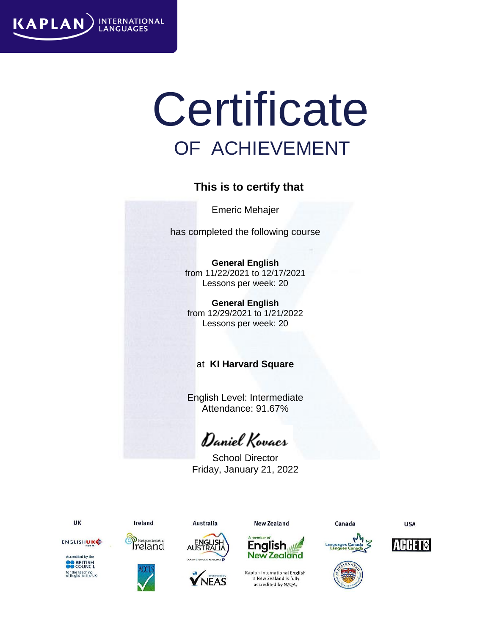

# **Certificate** OF ACHIEVEMENT

#### **This is to certify that**

Emeric Mehajer

has completed the following course

**General English** from 11/22/2021 to 12/17/2021 Lessons per week: 20

**General English** from 12/29/2021 to 1/21/2022 Lessons per week: 20

#### at **KI Harvard Square**

English Level: Intermediate Attendance: 91.67%

Daniel Kovacs

School Director Friday, January 21, 2022



Ireland









in New Zealand is fully accredited by NZQA.

Canada







**USA** 









**Australia** 

**New Zealand** mber o